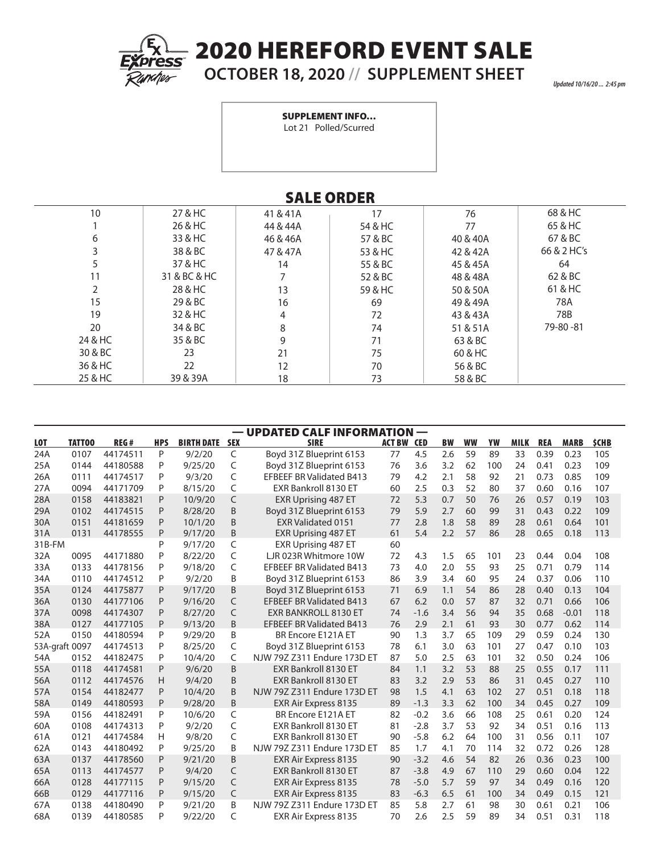

## 2020 HEREFORD EVENT SALE

## **OCTOBER 18, 2020 // SUPPLEMENT SHEET**

*Updated 10/16/20 ... 2:45 pm*

SUPPLEMENT INFO…

Lot 21 Polled/Scurred

| <b>SALE ORDER</b> |              |           |         |           |             |  |  |  |  |
|-------------------|--------------|-----------|---------|-----------|-------------|--|--|--|--|
| 10                | 27 & HC      | 41 & 41 A | 17      | 76        | 68 & HC     |  |  |  |  |
|                   | 26 & HC      | 44 & 44 A | 54 & HC | 77        | 65 & HC     |  |  |  |  |
| 6                 | 33 & HC      | 46 & 46A  | 57 & BC | 40 & 40 A | 67 & BC     |  |  |  |  |
| 3                 | 38 & BC      | 47 & 47 A | 53 & HC | 42 & 42A  | 66 & 2 HC's |  |  |  |  |
| 5                 | 37 & HC      | 14        | 55 & BC | 45 & 45A  | 64          |  |  |  |  |
| 11                | 31 & BC & HC |           | 52 & BC | 48 & 48A  | 62 & BC     |  |  |  |  |
| 2                 | 28 & HC      | 13        | 59 & HC | 50 & 50A  | 61 & HC     |  |  |  |  |
| 15                | 29 & BC      | 16        | 69      | 49 & 49A  | 78A         |  |  |  |  |
| 19                | 32 & HC      | 4         | 72      | 43 & 43A  | 78B         |  |  |  |  |
| 20                | 34 & BC      | 8         | 74      | 51 & 51 A | 79-80-81    |  |  |  |  |
| 24 & HC           | 35 & BC      | 9         | 71      | 63 & BC   |             |  |  |  |  |
| 30 & BC           | 23           | 21        | 75      | 60 & HC   |             |  |  |  |  |
| 36 & HC           | 22           | 12        | 70      | 56 & BC   |             |  |  |  |  |
| 25 & HC           | 39 & 39A     | 18        | 73      | 58 & BC   |             |  |  |  |  |

— UPDATED CALF INFORMATION —

| <b>LOT</b>     | TATT00 | REG#     | <b>HPS</b> | <b>BIRTH DATE SEX</b> |   | <b>SIRE</b>                     | <b>ACT BW CED</b> |        | <b>BW</b> | WW | YW  | <b>MILK</b> | <b>REA</b> | <b>MARB</b> | <b>\$CHB</b> |
|----------------|--------|----------|------------|-----------------------|---|---------------------------------|-------------------|--------|-----------|----|-----|-------------|------------|-------------|--------------|
| 24A            | 0107   | 44174511 | P          | 9/2/20                | C | Boyd 31Z Blueprint 6153         | 77                | 4.5    | 2.6       | 59 | 89  | 33          | 0.39       | 0.23        | 105          |
|                |        |          |            |                       |   |                                 |                   |        |           |    |     |             |            |             |              |
| 25A            | 0144   | 44180588 | P          | 9/25/20               | C | Boyd 31Z Blueprint 6153         | 76                | 3.6    | 3.2       | 62 | 100 | 24          | 0.41       | 0.23        | 109          |
| 26A            | 0111   | 44174517 | P          | 9/3/20                | C | <b>EFBEEF BR Validated B413</b> | 79                | 4.2    | 2.1       | 58 | 92  | 21          | 0.73       | 0.85        | 109          |
| 27A            | 0094   | 44171709 | P          | 8/15/20               | C | EXR Bankroll 8130 ET            | 60                | 2.5    | 0.3       | 52 | 80  | 37          | 0.60       | 0.16        | 107          |
| 28A            | 0158   | 44183821 | P          | 10/9/20               | C | <b>EXR Uprising 487 ET</b>      | 72                | 5.3    | 0.7       | 50 | 76  | 26          | 0.57       | 0.19        | 103          |
| 29A            | 0102   | 44174515 | P          | 8/28/20               | B | Boyd 31Z Blueprint 6153         | 79                | 5.9    | 2.7       | 60 | 99  | 31          | 0.43       | 0.22        | 109          |
| 30A            | 0151   | 44181659 | P          | 10/1/20               | B | <b>EXR Validated 0151</b>       | 77                | 2.8    | 1.8       | 58 | 89  | 28          | 0.61       | 0.64        | 101          |
| 31A            | 0131   | 44178555 | P          | 9/17/20               | B | <b>EXR Uprising 487 ET</b>      | 61                | 5.4    | 2.2       | 57 | 86  | 28          | 0.65       | 0.18        | 113          |
| 31B-FM         |        |          | P          | 9/17/20               | C | <b>EXR Uprising 487 ET</b>      | 60                |        |           |    |     |             |            |             |              |
| 32A            | 0095   | 44171880 | P          | 8/22/20               | C | LJR 023R Whitmore 10W           | 72                | 4.3    | 1.5       | 65 | 101 | 23          | 0.44       | 0.04        | 108          |
| 33A            | 0133   | 44178156 | P          | 9/18/20               | C | <b>EFBEEF BR Validated B413</b> | 73                | 4.0    | 2.0       | 55 | 93  | 25          | 0.71       | 0.79        | 114          |
| 34A            | 0110   | 44174512 | P          | 9/2/20                | B | Boyd 31Z Blueprint 6153         | 86                | 3.9    | 3.4       | 60 | 95  | 24          | 0.37       | 0.06        | 110          |
| 35A            | 0124   | 44175877 | P          | 9/17/20               | B | Boyd 31Z Blueprint 6153         | 71                | 6.9    | 1.1       | 54 | 86  | 28          | 0.40       | 0.13        | 104          |
| 36A            | 0130   | 44177106 | P          | 9/16/20               | C | <b>EFBEEF BR Validated B413</b> | 67                | 6.2    | 0.0       | 57 | 87  | 32          | 0.71       | 0.66        | 106          |
| 37A            | 0098   | 44174307 | P          | 8/27/20               | C | <b>EXR BANKROLL 8130 ET</b>     | 74                | $-1.6$ | 3.4       | 56 | 94  | 35          | 0.68       | $-0.01$     | 118          |
| 38A            | 0127   | 44177105 | P          | 9/13/20               | B | <b>EFBEEF BR Validated B413</b> | 76                | 2.9    | 2.1       | 61 | 93  | 30          | 0.77       | 0.62        | 114          |
| 52A            | 0150   | 44180594 | P          | 9/29/20               | B | BR Encore E121A ET              | 90                | 1.3    | 3.7       | 65 | 109 | 29          | 0.59       | 0.24        | 130          |
| 53A-graft 0097 |        | 44174513 | P          | 8/25/20               | C | Boyd 31Z Blueprint 6153         | 78                | 6.1    | 3.0       | 63 | 101 | 27          | 0.47       | 0.10        | 103          |
| 54A            | 0152   | 44182475 | P          | 10/4/20               | C | NJW 79Z Z311 Endure 173D ET     | 87                | 5.0    | 2.5       | 63 | 101 | 32          | 0.50       | 0.24        | 106          |
| 55A            | 0118   | 44174581 | P          | 9/6/20                | B | EXR Bankroll 8130 ET            | 84                | 1.1    | 3.2       | 53 | 88  | 25          | 0.55       | 0.17        | 111          |
| 56A            | 0112   | 44174576 | н          | 9/4/20                | B | <b>EXR Bankroll 8130 ET</b>     | 83                | 3.2    | 2.9       | 53 | 86  | 31          | 0.45       | 0.27        | 110          |
| 57A            | 0154   | 44182477 | P          | 10/4/20               | B | NJW 79Z Z311 Endure 173D ET     | 98                | 1.5    | 4.1       | 63 | 102 | 27          | 0.51       | 0.18        | 118          |
| 58A            | 0149   | 44180593 | P          | 9/28/20               | B | EXR Air Express 8135            | 89                | $-1.3$ | 3.3       | 62 | 100 | 34          | 0.45       | 0.27        | 109          |
| 59A            | 0156   | 44182491 | P          | 10/6/20               | C | BR Encore E121A ET              | 82                | $-0.2$ | 3.6       | 66 | 108 | 25          | 0.61       | 0.20        | 124          |
| 60A            | 0108   | 44174313 | P          | 9/2/20                | C | EXR Bankroll 8130 ET            | 81                | $-2.8$ | 3.7       | 53 | 92  | 34          | 0.51       | 0.16        | 113          |
| 61A            | 0121   | 44174584 | н          | 9/8/20                | C | EXR Bankroll 8130 ET            | 90                | $-5.8$ | 6.2       | 64 | 100 | 31          | 0.56       | 0.11        | 107          |
| 62A            | 0143   | 44180492 | P          | 9/25/20               | B | NJW 79Z Z311 Endure 173D ET     | 85                | 1.7    | 4.1       | 70 | 114 | 32          | 0.72       | 0.26        | 128          |
| 63A            | 0137   | 44178560 | P          | 9/21/20               | B | EXR Air Express 8135            | 90                | $-3.2$ | 4.6       | 54 | 82  | 26          | 0.36       | 0.23        | 100          |
| 65A            | 0113   | 44174577 | P          | 9/4/20                | C | <b>EXR Bankroll 8130 ET</b>     | 87                | $-3.8$ | 4.9       | 67 | 110 | 29          | 0.60       | 0.04        | 122          |
| 66A            | 0128   | 44177115 | P          | 9/15/20               | C | EXR Air Express 8135            | 78                | $-5.0$ | 5.7       | 59 | 97  | 34          | 0.49       | 0.16        | 120          |
| 66B            | 0129   | 44177116 | P          | 9/15/20               | C | <b>EXR Air Express 8135</b>     | 83                | $-6.3$ | 6.5       | 61 | 100 | 34          | 0.49       | 0.15        | 121          |

67A 0138 44180490 P 9/21/20 B NJW 79Z Z311 Endure 173D ET 85 5.8 2.7 61 98 30 0.61 0.21 106

EXR Air Express 8135 70 2.6 2.5 59 89 34 0.51 0.31 118